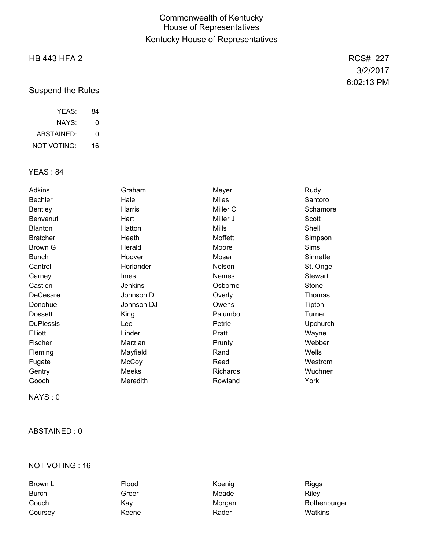## Commonwealth of Kentucky House of Representatives Kentucky House of Representatives

## HB 443 HFA 2

Suspend the Rules

| YFAS:       | 84 |
|-------------|----|
| NAYS:       | 0  |
| ABSTAINED:  | O  |
| NOT VOTING: | 16 |

### YEAS : 84

| Adkins           | Graham         | Meyer               | Rudy            |
|------------------|----------------|---------------------|-----------------|
| <b>Bechler</b>   | Hale           | <b>Miles</b>        | Santoro         |
| <b>Bentley</b>   | Harris         | Miller <sub>C</sub> | Schamore        |
| Benvenuti        | Hart           | Miller J            | Scott           |
| <b>Blanton</b>   | Hatton         | Mills               | Shell           |
| <b>Bratcher</b>  | Heath          | Moffett             | Simpson         |
| Brown G          | Herald         | Moore               | <b>Sims</b>     |
| <b>Bunch</b>     | Hoover         | Moser               | Sinnette        |
| Cantrell         | Horlander      | Nelson              | St. Onge        |
| Carney           | <b>Imes</b>    | <b>Nemes</b>        | <b>Stewart</b>  |
| Castlen          | <b>Jenkins</b> | Osborne             | Stone           |
| DeCesare         | Johnson D      | Overly              | Thomas          |
| Donohue          | Johnson DJ     | Owens               | Tipton          |
| <b>Dossett</b>   | King           | Palumbo             | Turner          |
| <b>DuPlessis</b> | Lee            | Petrie              | <b>Upchurch</b> |
| Elliott          | Linder         | Pratt               | Wayne           |
| Fischer          | Marzian        | Prunty              | Webber          |
| Fleming          | Mayfield       | Rand                | Wells           |
| Fugate           | McCoy          | Reed                | Westrom         |
| Gentry           | Meeks          | <b>Richards</b>     | Wuchner         |
| Gooch            | Meredith       | Rowland             | York            |

NAYS : 0

#### ABSTAINED : 0

### NOT VOTING : 16

| Brown L      | Flood | Koenig | <b>Riggs</b> |
|--------------|-------|--------|--------------|
| <b>Burch</b> | Greer | Meade  | Rilev        |
| Couch        | Kav   | Morgan | Rothenburger |
| Coursey      | Keene | Rader  | Watkins      |

RCS# 227 3/2/2017 6:02:13 PM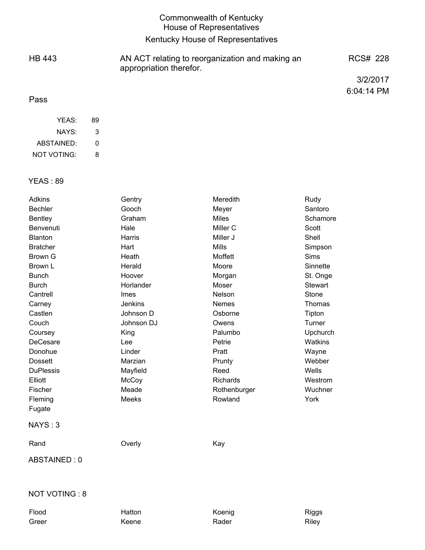### Commonwealth of Kentucky House of Representatives Kentucky House of Representatives HB 443 Pass AN ACT relating to reorganization and making an appropriation therefor. RCS# 228 3/2/2017 6:04:14 PM

| YFAS:              | 89 |
|--------------------|----|
| NAYS:              | З  |
| ABSTAINED:         | ŋ  |
| <b>NOT VOTING:</b> | 8  |

#### YEAS : 89

| Adkins               | Gentry         | Meredith            | Rudy           |
|----------------------|----------------|---------------------|----------------|
| <b>Bechler</b>       | Gooch          | Meyer               | Santoro        |
| <b>Bentley</b>       | Graham         | <b>Miles</b>        | Schamore       |
| Benvenuti            | Hale           | Miller <sub>C</sub> | <b>Scott</b>   |
| Blanton              | Harris         | Miller J            | Shell          |
| <b>Bratcher</b>      | Hart           | <b>Mills</b>        | Simpson        |
| <b>Brown G</b>       | Heath          | Moffett             | <b>Sims</b>    |
| Brown L              | Herald         | Moore               | Sinnette       |
| <b>Bunch</b>         | Hoover         | Morgan              | St. Onge       |
| <b>Burch</b>         | Horlander      | Moser               | <b>Stewart</b> |
| Cantrell             | Imes           | Nelson              | Stone          |
| Carney               | <b>Jenkins</b> | Nemes               | Thomas         |
| Castlen              | Johnson D      | Osborne             | Tipton         |
| Couch                | Johnson DJ     | Owens               | Turner         |
| Coursey              | King           | Palumbo             | Upchurch       |
| DeCesare             | Lee            | Petrie              | Watkins        |
| Donohue              | Linder         | Pratt               | Wayne          |
| <b>Dossett</b>       | Marzian        | Prunty              | Webber         |
| <b>DuPlessis</b>     | Mayfield       | Reed                | Wells          |
| Elliott              | McCoy          | <b>Richards</b>     | Westrom        |
| Fischer              | Meade          | Rothenburger        | Wuchner        |
| Fleming              | <b>Meeks</b>   | Rowland             | York           |
| Fugate               |                |                     |                |
| NAYS: 3              |                |                     |                |
| Rand                 | Overly         | Kay                 |                |
| ABSTAINED: 0         |                |                     |                |
| <b>NOT VOTING: 8</b> |                |                     |                |
|                      |                |                     |                |

Flood **Hatton Koenig Riggs** Riggs Greer and Keene Rader Rader Riley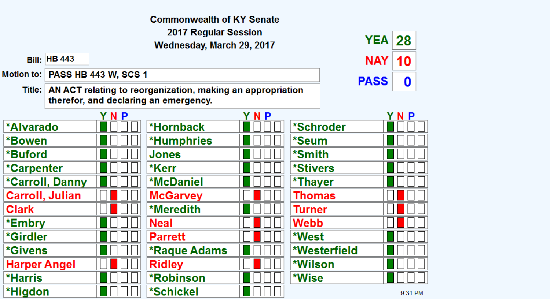|                                                                                                                             |                        |                                   | <b>Commonwealth of KY Senate</b> |     |                     |             |         |
|-----------------------------------------------------------------------------------------------------------------------------|------------------------|-----------------------------------|----------------------------------|-----|---------------------|-------------|---------|
|                                                                                                                             |                        |                                   | 2017 Regular Session             |     |                     | <b>YEA</b>  | 28      |
|                                                                                                                             |                        |                                   | Wednesday, March 29, 2017        |     |                     |             |         |
|                                                                                                                             | <b>Bill: HB 443</b>    |                                   |                                  |     |                     | NAY.        | 10      |
|                                                                                                                             |                        | Motion to:   PASS HB 443 W, SCS 1 |                                  |     |                     | <b>PASS</b> |         |
| $\mathbf 0$<br>Title:   AN ACT relating to reorganization, making an appropriation<br>therefor, and declaring an emergency. |                        |                                   |                                  |     |                     |             |         |
|                                                                                                                             |                        | Y N P                             |                                  | YNP |                     |             | N P     |
| *Alvarado                                                                                                                   |                        |                                   | *Hornback                        |     | *Schroder           |             |         |
| *Bowen                                                                                                                      |                        |                                   | <b>*Humphries</b>                |     | <i><b>*Seum</b></i> |             |         |
| *Buford                                                                                                                     |                        |                                   | Jones                            |     | *Smith              |             |         |
| *Carpenter                                                                                                                  |                        |                                   | *Kerr                            |     | *Stivers            |             |         |
|                                                                                                                             | <b>*Carroll, Danny</b> |                                   | <b>*McDaniel</b>                 |     | *Thayer             |             |         |
| <b>Carroll, Julian</b>                                                                                                      |                        |                                   | <b>McGarvey</b>                  |     | Thomas              |             |         |
| <b>Clark</b>                                                                                                                |                        |                                   | <b>*Meredith</b>                 |     | Turner              |             |         |
| *Embry                                                                                                                      |                        |                                   | <b>Neal</b>                      |     | Webb                |             |         |
| *Girdler                                                                                                                    |                        |                                   | <b>Parrett</b>                   |     | *West               |             |         |
| <i><b>*Givens</b></i>                                                                                                       |                        |                                   | *Raque Adams                     |     | *Westerfield        |             |         |
| <b>Harper Angel</b>                                                                                                         |                        |                                   | <b>Ridley</b>                    |     | *Wilson             |             |         |
| *Harris                                                                                                                     |                        |                                   | <b>*Robinson</b>                 |     | *Wise               |             |         |
| *Higdon                                                                                                                     |                        |                                   | <i><b>*Schickel</b></i>          |     |                     |             | 9:31 PM |